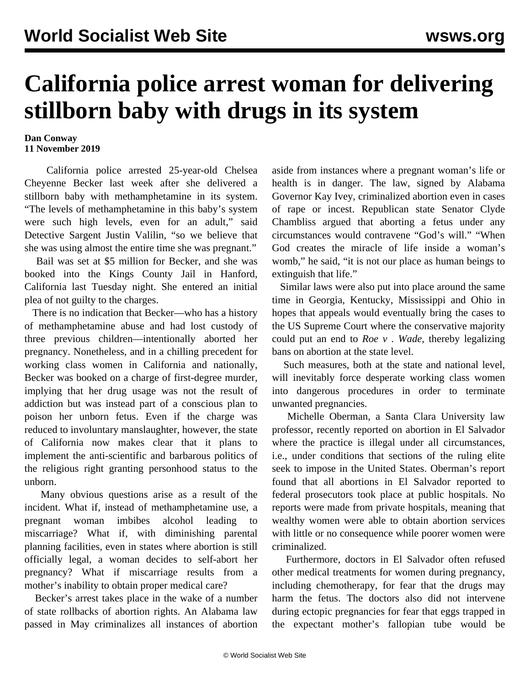## **California police arrest woman for delivering stillborn baby with drugs in its system**

## **Dan Conway 11 November 2019**

 California police arrested 25-year-old Chelsea Cheyenne Becker last week after she delivered a stillborn baby with methamphetamine in its system. "The levels of methamphetamine in this baby's system were such high levels, even for an adult," said Detective Sargent Justin Valilin, "so we believe that she was using almost the entire time she was pregnant."

 Bail was set at \$5 million for Becker, and she was booked into the Kings County Jail in Hanford, California last Tuesday night. She entered an initial plea of not guilty to the charges.

 There is no indication that Becker—who has a history of methamphetamine abuse and had lost custody of three previous children—intentionally aborted her pregnancy. Nonetheless, and in a chilling precedent for working class women in California and nationally, Becker was booked on a charge of first-degree murder, implying that her drug usage was not the result of addiction but was instead part of a conscious plan to poison her unborn fetus. Even if the charge was reduced to involuntary manslaughter, however, the state of California now makes clear that it plans to implement the anti-scientific and barbarous politics of the religious right granting personhood status to the unborn.

 Many obvious questions arise as a result of the incident. What if, instead of methamphetamine use, a pregnant woman imbibes alcohol leading to miscarriage? What if, with diminishing parental planning facilities, even in states where abortion is still officially legal, a woman decides to self-abort her pregnancy? What if miscarriage results from a mother's inability to obtain proper medical care?

 Becker's arrest takes place in the wake of a number of state rollbacks of abortion rights. An Alabama law passed in May criminalizes all instances of abortion aside from instances where a pregnant woman's life or health is in danger. The law, signed by Alabama Governor Kay Ivey, criminalized abortion even in cases of rape or [incest.](/en/articles/2019/05/16/pers-m16.html) Republican state Senator Clyde Chambliss argued that aborting a fetus under any circumstances would contravene "God's will." "When God creates the miracle of life inside a woman's womb," he said, "it is not our place as human beings to extinguish that life."

 Similar laws were also put into place around the same time in Georgia, Kentucky, Mississippi and Ohio in hopes that appeals would eventually bring the cases to the US Supreme Court where the conservative majority could put an end to *Roe v . Wade*, thereby legalizing bans on abortion at the state level.

 Such measures, both at the state and national level, will inevitably force desperate working class women into dangerous procedures in order to terminate unwanted pregnancies.

 Michelle Oberman, a Santa Clara University law professor, recently reported on abortion in El Salvador where the practice is illegal under all circumstances, i.e., under conditions that sections of the ruling elite seek to impose in the United States. Oberman's report found that all abortions in El Salvador reported to federal prosecutors took place at public hospitals. No reports were made from private hospitals, meaning that wealthy women were able to obtain abortion services with little or no consequence while poorer women were criminalized.

 Furthermore, doctors in El Salvador often refused other medical treatments for women during pregnancy, including chemotherapy, for fear that the drugs may harm the fetus. The doctors also did not intervene during ectopic pregnancies for fear that eggs trapped in the expectant mother's fallopian tube would be